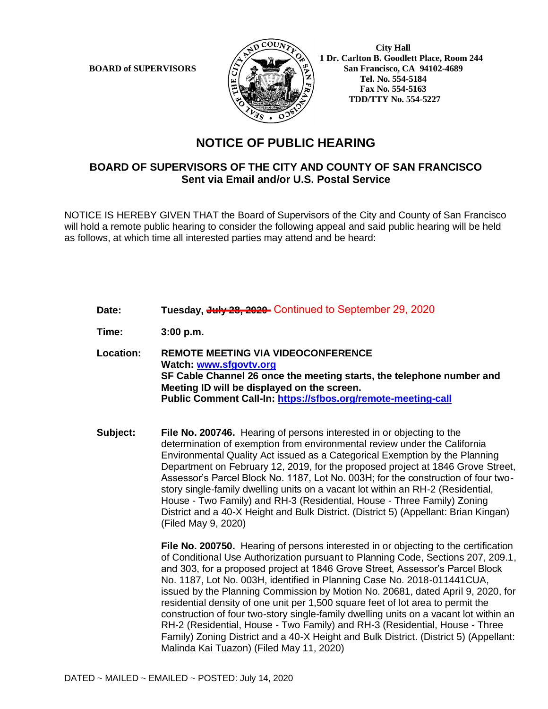

 **City Hall 1 Dr. Carlton B. Goodlett Place, Room 244 BOARD of SUPERVISORS**  $\left\langle \frac{S}{S} \right\rangle$   $\oplus$   $\left\langle \frac{S}{S} \right\rangle$  San Francisco, CA 94102-4689  **Tel. No. 554-5184 Fax No. 554-5163 TDD/TTY No. 554-5227**

## **NOTICE OF PUBLIC HEARING**

## **BOARD OF SUPERVISORS OF THE CITY AND COUNTY OF SAN FRANCISCO Sent via Email and/or U.S. Postal Service**

NOTICE IS HEREBY GIVEN THAT the Board of Supervisors of the City and County of San Francisco will hold a remote public hearing to consider the following appeal and said public hearing will be held as follows, at which time all interested parties may attend and be heard:

Date: Tuesday, <del>July 28, 2020-</del> Continued to September 29, 2020

**Time: 3:00 p.m.**

**Location: REMOTE MEETING VIA VIDEOCONFERENCE Watch: www.sfgovtv.org SF Cable Channel 26 once the meeting starts, the telephone number and Meeting ID will be displayed on the screen. Public Comment Call-In: https://sfbos.org/remote-meeting-call**

**Subject: File No. 200746.** Hearing of persons interested in or objecting to the determination of exemption from environmental review under the California Environmental Quality Act issued as a Categorical Exemption by the Planning Department on February 12, 2019, for the proposed project at 1846 Grove Street, Assessor's Parcel Block No. 1187, Lot No. 003H; for the construction of four twostory single-family dwelling units on a vacant lot within an RH-2 (Residential, House - Two Family) and RH-3 (Residential, House - Three Family) Zoning District and a 40-X Height and Bulk District. (District 5) (Appellant: Brian Kingan) (Filed May 9, 2020)

> **File No. 200750.** Hearing of persons interested in or objecting to the certification of Conditional Use Authorization pursuant to Planning Code, Sections 207, 209.1, and 303, for a proposed project at 1846 Grove Street, Assessor's Parcel Block No. 1187, Lot No. 003H, identified in Planning Case No. 2018-011441CUA, issued by the Planning Commission by Motion No. 20681, dated April 9, 2020, for residential density of one unit per 1,500 square feet of lot area to permit the construction of four two-story single-family dwelling units on a vacant lot within an RH-2 (Residential, House - Two Family) and RH-3 (Residential, House - Three Family) Zoning District and a 40-X Height and Bulk District. (District 5) (Appellant: Malinda Kai Tuazon) (Filed May 11, 2020)